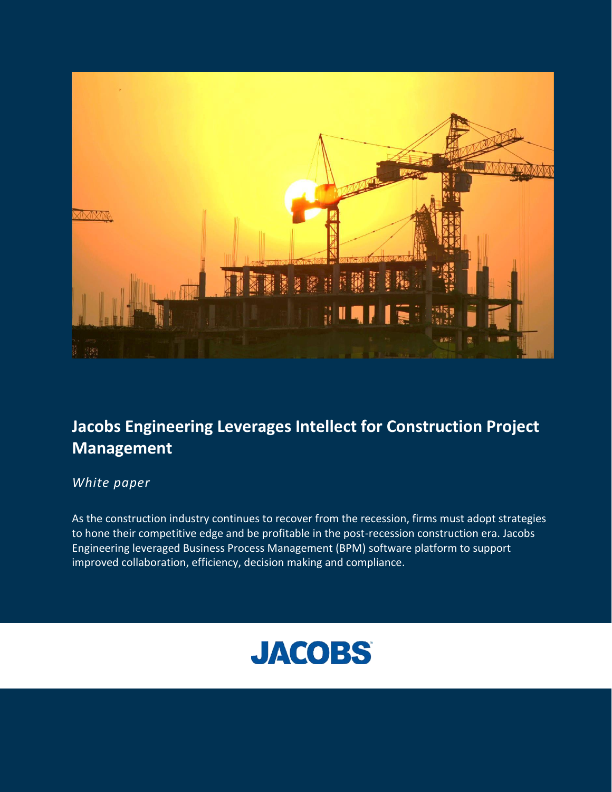

# **Jacobs Engineering Leverages Intellect for Construction Project Management**

## *White paper*

As the construction industry continues to recover from the recession, firms must adopt strategies to hone their competitive edge and be profitable in the post-recession construction era. Jacobs Engineering leveraged Business Process Management (BPM) software platform to support improved collaboration, efficiency, decision making and compliance.

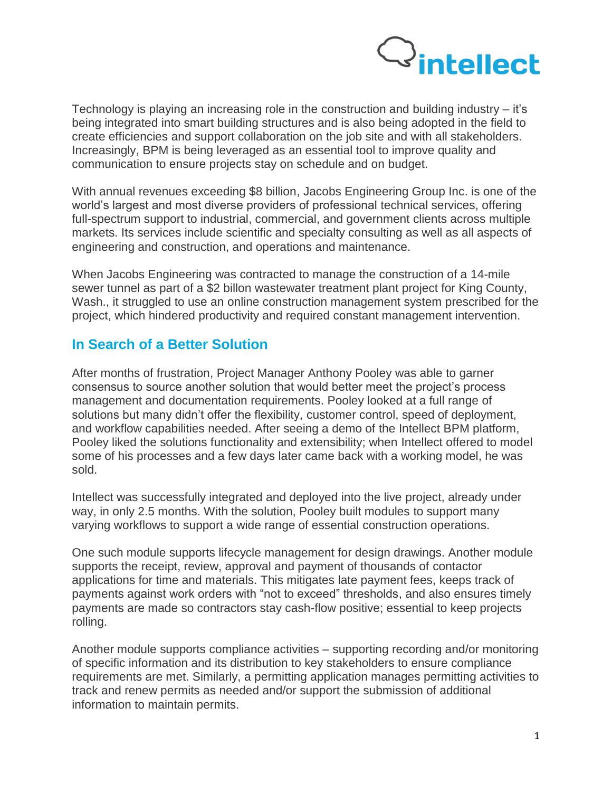

Technology is playing an increasing role in the construction and building industry – it's being integrated into smart building structures and is also being adopted in the field to create efficiencies and support collaboration on the job site and with all stakeholders. Increasingly, BPM is being leveraged as an essential tool to improve quality and communication to ensure projects stay on schedule and on budget.

With annual revenues exceeding \$8 billion, Jacobs Engineering Group Inc. is one of the world's largest and most diverse providers of professional technical services, offering full-spectrum support to industrial, commercial, and government clients across multiple markets. Its services include scientific and specialty consulting as well as all aspects of engineering and construction, and operations and maintenance.

When Jacobs Engineering was contracted to manage the construction of a 14-mile sewer tunnel as part of a \$2 billon wastewater treatment plant project for King County, Wash., it struggled to use an online construction management system prescribed for the project, which hindered productivity and required constant management intervention.

### **In Search of a Better Solution**

After months of frustration, Project Manager Anthony Pooley was able to garner consensus to source another solution that would better meet the project's process management and documentation requirements. Pooley looked at a full range of solutions but many didn't offer the flexibility, customer control, speed of deployment, and workflow capabilities needed. After seeing a demo of the Intellect BPM platform, Pooley liked the solutions functionality and extensibility; when Intellect offered to model some of his processes and a few days later came back with a working model, he was sold.

Intellect was successfully integrated and deployed into the live project, already under way, in only 2.5 months. With the solution, Pooley built modules to support many varying workflows to support a wide range of essential construction operations.

One such module supports lifecycle management for design drawings. Another module supports the receipt, review, approval and payment of thousands of contactor applications for time and materials. This mitigates late payment fees, keeps track of payments against work orders with "not to exceed" thresholds, and also ensures timely payments are made so contractors stay cash-flow positive; essential to keep projects rolling.

Another module supports compliance activities – supporting recording and/or monitoring of specific information and its distribution to key stakeholders to ensure compliance requirements are met. Similarly, a permitting application manages permitting activities to track and renew permits as needed and/or support the submission of additional information to maintain permits.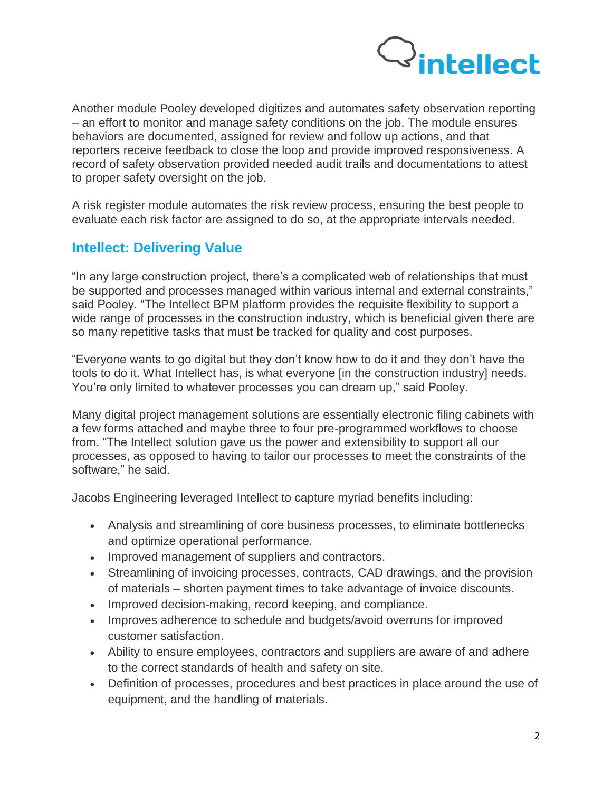

Another module Pooley developed digitizes and automates safety observation reporting – an effort to monitor and manage safety conditions on the job. The module ensures behaviors are documented, assigned for review and follow up actions, and that reporters receive feedback to close the loop and provide improved responsiveness. A record of safety observation provided needed audit trails and documentations to attest to proper safety oversight on the job.

A risk register module automates the risk review process, ensuring the best people to evaluate each risk factor are assigned to do so, at the appropriate intervals needed.

## **Intellect: Delivering Value**

"In any large construction project, there's a complicated web of relationships that must be supported and processes managed within various internal and external constraints," said Pooley. "The Intellect BPM platform provides the requisite flexibility to support a wide range of processes in the construction industry, which is beneficial given there are so many repetitive tasks that must be tracked for quality and cost purposes.

"Everyone wants to go digital but they don't know how to do it and they don't have the tools to do it. What Intellect has, is what everyone [in the construction industry] needs. You're only limited to whatever processes you can dream up," said Pooley.

Many digital project management solutions are essentially electronic filing cabinets with a few forms attached and maybe three to four pre-programmed workflows to choose from. "The Intellect solution gave us the power and extensibility to support all our processes, as opposed to having to tailor our processes to meet the constraints of the software," he said.

Jacobs Engineering leveraged Intellect to capture myriad benefits including:

- Analysis and streamlining of core business processes, to eliminate bottlenecks and optimize operational performance.
- Improved management of suppliers and contractors.
- Streamlining of invoicing processes, contracts, CAD drawings, and the provision of materials – shorten payment times to take advantage of invoice discounts.
- Improved decision-making, record keeping, and compliance.
- Improves adherence to schedule and budgets/avoid overruns for improved customer satisfaction.
- Ability to ensure employees, contractors and suppliers are aware of and adhere to the correct standards of health and safety on site.
- Definition of processes, procedures and best practices in place around the use of equipment, and the handling of materials.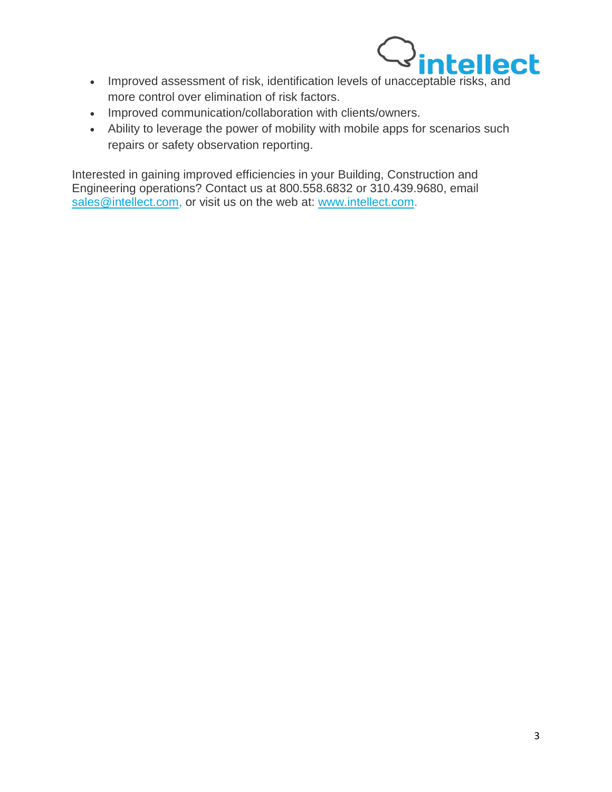

- Improved assessment of risk, identification levels of unacceptable risks, and more control over elimination of risk factors.
- Improved communication/collaboration with clients/owners.
- Ability to leverage the power of mobility with mobile apps for scenarios such repairs or safety observation reporting.

Interested in gaining improved efficiencies in your Building, Construction and Engineering operations? Contact us at 800.558.6832 or 310.439.9680, email [sales@intellect.com,](mailto:sales@intellect.com) or visit us on the web at: [www.intellect.com.](http://www.intellect.com/)